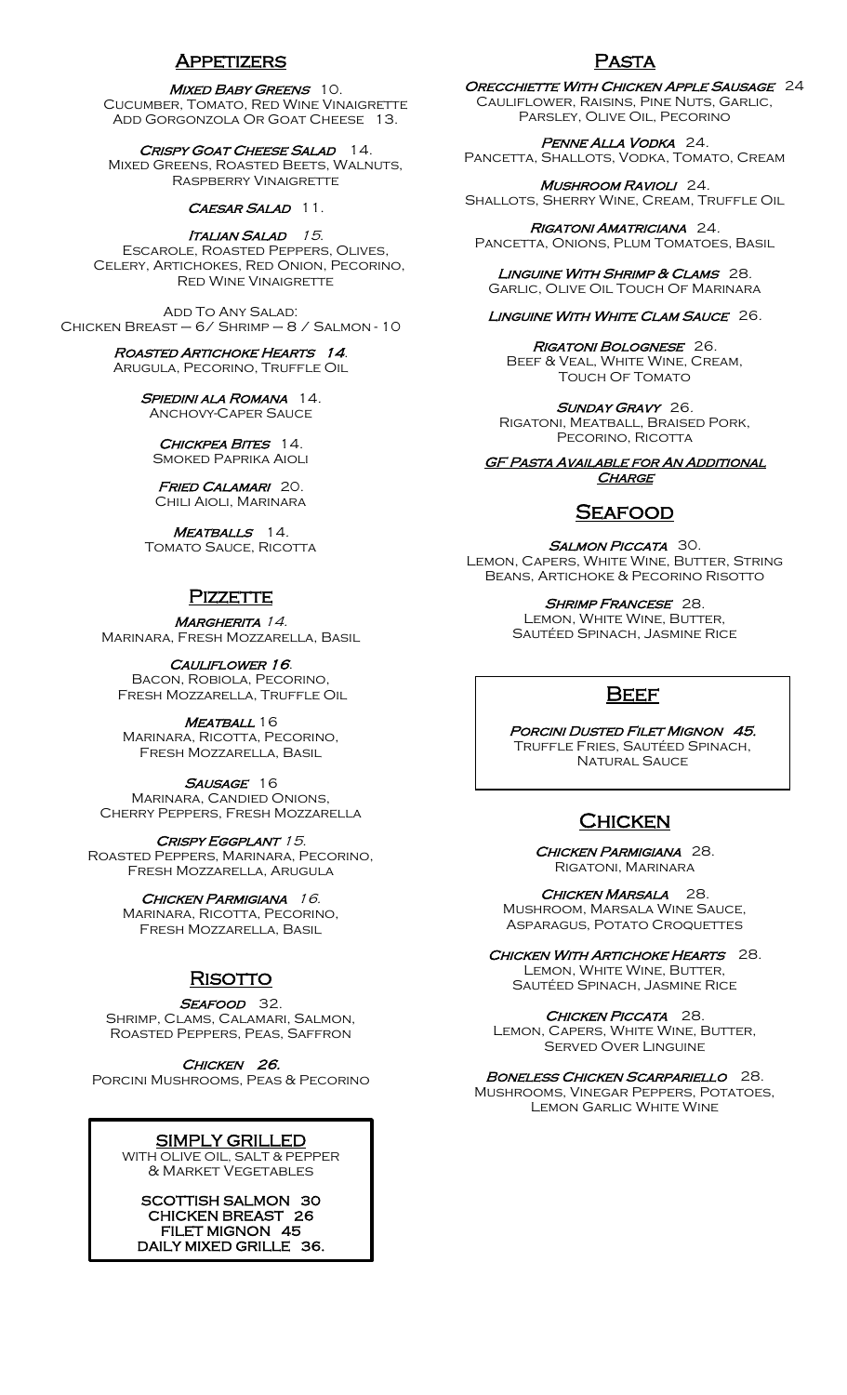# Appetizers

#### MIXED BABY GREENS 10.

Cucumber, Tomato, Red Wine Vinaigrette ADD GORGONZOLA OR GOAT CHEESE 13.

CRISPY GOAT CHEESE SALAD 14 Mixed Greens, Roasted Beets, Walnuts, Raspberry Vinaigrette

#### CAESAR SALAD 11.

ITALIAN SALAD 15. Escarole, Roasted Peppers, Olives, Celery, Artichokes, Red Onion, Pecorino, Red Wine Vinaigrette

Add To Any Salad: Chicken Breast – 6/ Shrimp – 8 / Salmon - 10

#### Roasted Artichoke Hearts 14. Arugula, Pecorino, Truffle Oil

SPIEDINI ALA ROMANA 14. Anchovy-Caper Sauce

CHICKPEA BITES 14. Smoked Paprika Aioli

FRIED CALAMARI 20. Chili Aioli, Marinara

MEATBALLS 14. TOMATO SAUCE, RICOTTA

## **PIZZETTE**

MARGHERITA 14. Marinara, Fresh Mozzarella, Basil

### CAULIFLOWER 16.

Bacon, Robiola, Pecorino, Fresh Mozzarella, Truffle Oil

MEATBALL 16 Marinara, Ricotta, Pecorino, Fresh Mozzarella, Basil

SAUSAGE 16 Marinara, Candied Onions, Cherry Peppers, Fresh Mozzarella

CRISPY EGGPLANT 15. Roasted Peppers, Marinara, Pecorino, Fresh Mozzarella, Arugula

> CHICKEN PARMIGIANA 16. Marinara, Ricotta, Pecorino, Fresh Mozzarella, Basil

# **RISOTTO**

#### SEAFOOD 32.

Shrimp, Clams, Calamari, Salmon, Roasted Peppers, Peas, Saffron

CHICKEN 26.

Porcini Mushrooms, Peas & Pecorino

## SIMPLY GRILLED

WITH OLIVE OIL, SALT & PEPPER & Market Vegetables

SCOTTISH SALMON 30 CHICKEN BREAST 26 FILET MIGNON 45 DAILY MIXED GRILLE 36.

ĺ

## Pasta

Orecchiette With Chicken Apple Sausage 24 Cauliflower, Raisins, Pine Nuts, Garlic, Parsley, Olive Oil, Pecorino

Penne Alla Vodka 24. PANCETTA, SHALLOTS, VODKA, TOMATO, CREAM

Mushroom Ravioli 24. SHALLOTS, SHERRY WINE, CREAM, TRUFFLE OIL

Rigatoni Amatriciana 24. PANCETTA, ONIONS, PLUM TOMATOES, BASIL

LINGUINE WITH SHRIMP & CLAMS 28. Garlic, Olive Oil Touch Of Marinara

#### LINGUINE WITH WHITE CLAM SAUCE 26.

Rigatoni Bolognese 26. Beef & Veal, White Wine, Cream, TOUCH OF TOMATO

SUNDAY GRAVY 26. Rigatoni, Meatball, Braised Pork, PECORINO, RICOTTA

**GF PASTA AVAILABLE FOR AN ADDITIONAL CHARGE** 

# **SEAFOOD**

SALMON PICCATA 30. Lemon, Capers, White Wine, Butter, String Beans, Artichoke & Pecorino Risotto

> SHRIMP FRANCESE 28. Lemon, White Wine, Butter, Sautéed Spinach, Jasmine Rice

# **BEEF**

PORCINI DUSTED FILET MIGNON 45. Truffle Fries, Sautéed Spinach, Natural Sauce

# **CHICKEN**

CHICKEN PARMIGIANA 28. Rigatoni, Marinara

CHICKEN MARSALA 28. Mushroom, Marsala Wine Sauce, Asparagus, Potato Croquettes

CHICKEN WITH ARTICHOKE HEARTS 28. Lemon, White Wine, Butter, Sautéed Spinach, Jasmine Rice

CHICKEN PICCATA 28. LEMON, CAPERS, WHITE WINE, BUTTER, Served Over Linguine

#### BONELESS CHICKEN SCARPARIELLO 28.

Mushrooms, Vinegar Peppers, Potatoes, Lemon Garlic White Wine